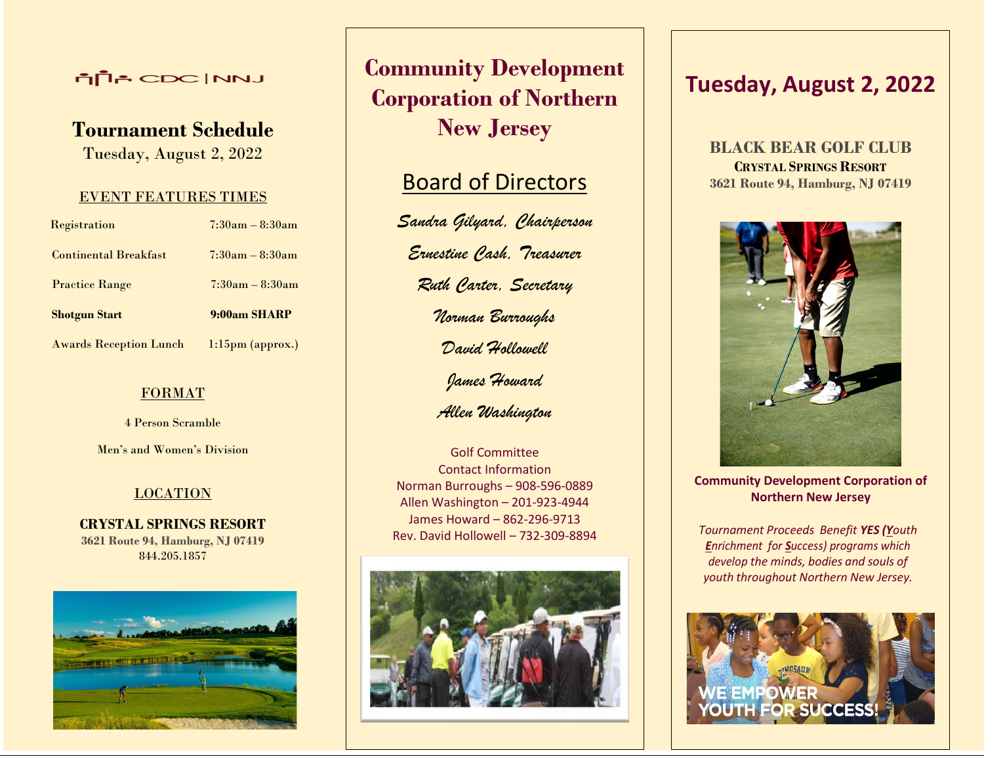## **LINN** CDC INNJ

# **Tournament Schedule**

Tuesday, August 2, 2022

### EVENT FEATURES TIMES

| Registration                  | $7:30am - 8:30am$   |  |
|-------------------------------|---------------------|--|
| <b>Continental Breakfast</b>  | $7:30am - 8:30am$   |  |
| <b>Practice Range</b>         | $7:30am - 8:30am$   |  |
| <b>Shotgun Start</b>          | 9:00am SHARP        |  |
| <b>Awards Reception Lunch</b> | $1:15$ pm (approx.) |  |

### FORMAT

4 Person Scramble

Men's and Women's Division

## LOCATION

**CRYSTAL SPRINGS RESORT 3621 Route 94, Hamburg, NJ 07419** 844.205.1857



# **Community Development Corporation of Northern New Jersey**

# **Board of Directors**

*Sandra Gilyard, Chairperson Ernestine Cash, Treasurer Ruth Carter, Secretary Norman Burroughs David Hollowell James Howard*

*Allen Washington*

Golf Committee Contact Information Norman Burroughs – 908-596-0889 Allen Washington – 201-923-4944 James Howard – 862-296-9713 Rev. David Hollowell – 732-309-8894



# **Tuesday, August 2, 2022**

**BLACK BEAR GOLF CLUB CRYSTAL SPRINGS RESORT 3621 Route 94, Hamburg, NJ 07419**



**Community Development Corporation of Northern New Jersey**

*Tournament Proceeds Benefit YES (Youth Enrichment for Success) programs which develop the minds, bodies and souls of youth throughout Northern New Jersey.*